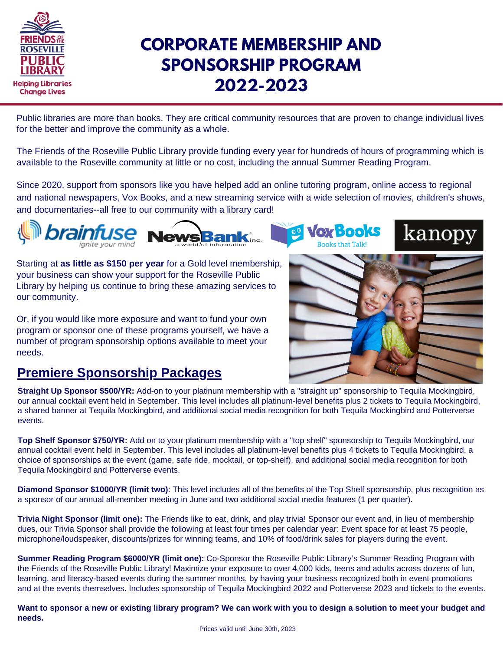

## **CORPORATE MEMBERSHIP AND SPONSORSHIP PROGRAM 2022-2023**

Public libraries are more than books. They are critical community resources that are proven to change individual lives for the better and improve the community as a whole.

The Friends of the Roseville Public Library provide funding every year for hundreds of hours of programming which is available to the Roseville community at little or no cost, including the annual Summer Reading Program.

Since 2020, support from sponsors like you have helped add an online tutoring program, online access to regional and national newspapers, Vox Books, and a new streaming service with a wide selection of movies, children's shows, and documentaries--all free to our community with a library card!



**Vox Books Books that Talkl** 

kanopy

Starting at **as little as \$150 per year** for a Gold level membership, your business can show your support for the Roseville Public Library by helping us continue to bring these amazing services to our community.

Or, if you would like more exposure and want to fund your own program or sponsor one of these programs yourself, we have a number of program sponsorship options available to meet your needs.



## **Premiere Sponsorship Packages**

**Straight Up Sponsor \$500/YR:** Add-on to your platinum membership with a "straight up" sponsorship to Tequila Mockingbird, our annual cocktail event held in September. This level includes all platinum-level benefits plus 2 tickets to Tequila Mockingbird, a shared banner at Tequila Mockingbird, and additional social media recognition for both Tequila Mockingbird and Potterverse events.

**Top Shelf Sponsor \$750/YR:** Add on to your platinum membership with a "top shelf" sponsorship to Tequila Mockingbird, our annual cocktail event held in September. This level includes all platinum-level benefits plus 4 tickets to Tequila Mockingbird, a choice of sponsorships at the event (game, safe ride, mocktail, or top-shelf), and additional social media recognition for both Tequila Mockingbird and Potterverse events.

**Diamond Sponsor \$1000/YR (limit two)**: This level includes all of the benefits of the Top Shelf sponsorship, plus recognition as a sponsor of our annual all-member meeting in June and two additional social media features (1 per quarter).

**Trivia Night Sponsor (limit one):** The Friends like to eat, drink, and play trivia! Sponsor our event and, in lieu of membership dues, our Trivia Sponsor shall provide the following at least four times per calendar year: Event space for at least 75 people, microphone/loudspeaker, discounts/prizes for winning teams, and 10% of food/drink sales for players during the event.

**Summer Reading Program \$6000/YR (limit one):** Co-Sponsor the Roseville Public Library's Summer Reading Program with the Friends of the Roseville Public Library! Maximize your exposure to over 4,000 kids, teens and adults across dozens of fun, learning, and literacy-based events during the summer months, by having your business recognized both in event promotions and at the events themselves. Includes sponsorship of Tequila Mockingbird 2022 and Potterverse 2023 and tickets to the events.

Want to sponsor a new or existing library program? We can work with you to design a solution to meet your budget and **needs.**